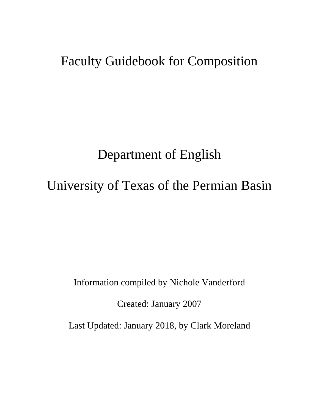# Faculty Guidebook for Composition

# Department of English

# University of Texas of the Permian Basin

Information compiled by Nichole Vanderford

Created: January 2007

Last Updated: January 2018, by Clark Moreland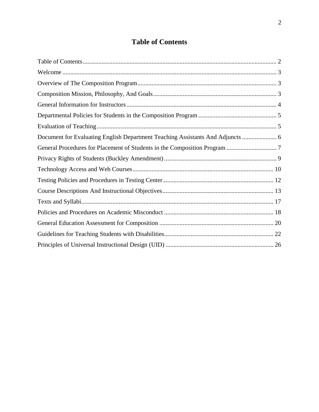# **Table of Contents**

<span id="page-1-0"></span>

| Document for Evaluating English Department Teaching Assistants And Adjuncts  6 |  |
|--------------------------------------------------------------------------------|--|
|                                                                                |  |
|                                                                                |  |
|                                                                                |  |
|                                                                                |  |
|                                                                                |  |
|                                                                                |  |
|                                                                                |  |
|                                                                                |  |
|                                                                                |  |
|                                                                                |  |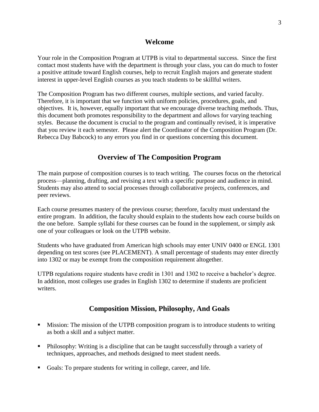# **Welcome**

<span id="page-2-0"></span>Your role in the Composition Program at UTPB is vital to departmental success. Since the first contact most students have with the department is through your class, you can do much to foster a positive attitude toward English courses, help to recruit English majors and generate student interest in upper-level English courses as you teach students to be skillful writers.

The Composition Program has two different courses, multiple sections, and varied faculty. Therefore, it is important that we function with uniform policies, procedures, goals, and objectives. It is, however, equally important that we encourage diverse teaching methods. Thus, this document both promotes responsibility to the department and allows for varying teaching styles. Because the document is crucial to the program and continually revised, it is imperative that you review it each semester. Please alert the Coordinator of the Composition Program (Dr. Rebecca Day Babcock) to any errors you find in or questions concerning this document.

# **Overview of The Composition Program**

<span id="page-2-1"></span>The main purpose of composition courses is to teach writing. The courses focus on the rhetorical process—planning, drafting, and revising a text with a specific purpose and audience in mind. Students may also attend to social processes through collaborative projects, conferences, and peer reviews.

Each course presumes mastery of the previous course; therefore, faculty must understand the entire program. In addition, the faculty should explain to the students how each course builds on the one before. Sample syllabi for these courses can be found in the supplement, or simply ask one of your colleagues or look on the UTPB website.

Students who have graduated from American high schools may enter UNIV 0400 or ENGL 1301 depending on test scores (see PLACEMENT). A small percentage of students may enter directly into 1302 or may be exempt from the composition requirement altogether.

<span id="page-2-2"></span>UTPB regulations require students have credit in 1301 and 1302 to receive a bachelor's degree. In addition, most colleges use grades in English 1302 to determine if students are proficient writers.

# **Composition Mission, Philosophy, And Goals**

- Mission: The mission of the UTPB composition program is to introduce students to writing as both a skill and a subject matter.
- Philosophy: Writing is a discipline that can be taught successfully through a variety of techniques, approaches, and methods designed to meet student needs.
- Goals: To prepare students for writing in college, career, and life.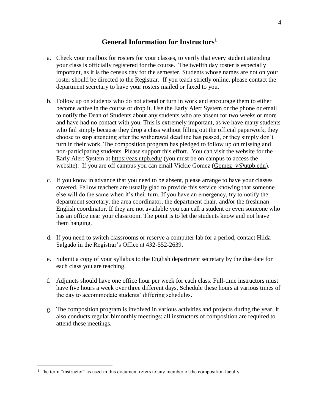# **General Information for Instructors<sup>1</sup>**

- <span id="page-3-0"></span>a. Check your mailbox for rosters for your classes, to verify that every student attending your class is officially registered for the course. The twelfth day roster is especially important, as it is the census day for the semester. Students whose names are not on your roster should be directed to the Registrar. If you teach strictly online, please contact the department secretary to have your rosters mailed or faxed to you.
- b. Follow up on students who do not attend or turn in work and encourage them to either become active in the course or drop it. Use the Early Alert System or the phone or email to notify the Dean of Students about any students who are absent for two weeks or more and have had no contact with you. This is extremely important, as we have many students who fail simply because they drop a class without filling out the official paperwork, they choose to stop attending after the withdrawal deadline has passed, or they simply don't turn in their work. The composition program has pledged to follow up on missing and non-participating students. Please support this effort. You can visit the website for the Early Alert System at<https://eas.utpb.edu/> (you must be on campus to access the website). If you are off campus you can email Vickie Gomez [\(Gomez\\_v@utpb.edu\)](mailto:Gomez_v@utpb.edu).
- c. If you know in advance that you need to be absent, please arrange to have your classes covered. Fellow teachers are usually glad to provide this service knowing that someone else will do the same when it's their turn. If you have an emergency, try to notify the department secretary, the area coordinator, the department chair, and/or the freshman English coordinator. If they are not available you can call a student or even someone who has an office near your classroom. The point is to let the students know and not leave them hanging.
- d. If you need to switch classrooms or reserve a computer lab for a period, contact Hilda Salgado in the Registrar's Office at 432-552-2639.
- e. Submit a copy of your syllabus to the English department secretary by the due date for each class you are teaching.
- f. Adjuncts should have one office hour per week for each class. Full-time instructors must have five hours a week over three different days. Schedule these hours at various times of the day to accommodate students' differing schedules.
- g. The composition program is involved in various activities and projects during the year. It also conducts regular bimonthly meetings: all instructors of composition are required to attend these meetings.

 $\overline{a}$ 

<sup>&</sup>lt;sup>1</sup> The term "instructor" as used in this document refers to any member of the composition faculty.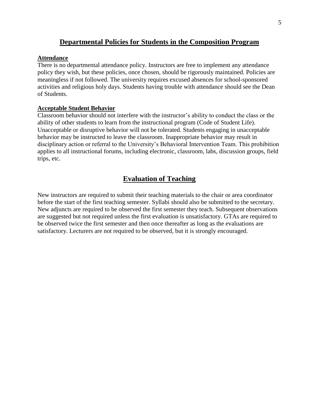# **Departmental Policies for Students in the Composition Program**

#### <span id="page-4-0"></span>**Attendance**

There is no departmental attendance policy. Instructors are free to implement any attendance policy they wish, but these policies, once chosen, should be rigorously maintained. Policies are meaningless if not followed. The university requires excused absences for school-sponsored activities and religious holy days. Students having trouble with attendance should see the Dean of Students.

#### **Acceptable Student Behavior**

Classroom behavior should not interfere with the instructor's ability to conduct the class or the ability of other students to learn from the instructional program (Code of Student Life). Unacceptable or disruptive behavior will not be tolerated. Students engaging in unacceptable behavior may be instructed to leave the classroom. Inappropriate behavior may result in disciplinary action or referral to the University's Behavioral Intervention Team. This prohibition applies to all instructional forums, including electronic, classroom, labs, discussion groups, field trips, etc.

# **Evaluation of Teaching**

<span id="page-4-1"></span>New instructors are required to submit their teaching materials to the chair or area coordinator before the start of the first teaching semester. Syllabi should also be submitted to the secretary. New adjuncts are required to be observed the first semester they teach. Subsequent observations are suggested but not required unless the first evaluation is unsatisfactory. GTAs are required to be observed twice the first semester and then once thereafter as long as the evaluations are satisfactory. Lecturers are not required to be observed, but it is strongly encouraged.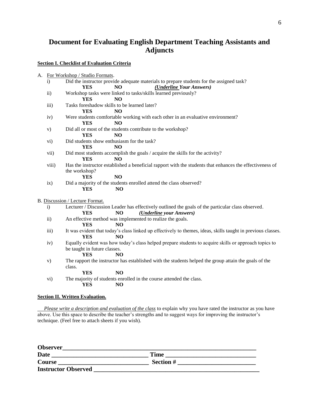# <span id="page-5-0"></span>**Document for Evaluating English Department Teaching Assistants and Adjuncts**

**Section I. Checklist of Evaluation Criteria**

| A. |                     | For Workshop / Studio Formats.                                                                               |
|----|---------------------|--------------------------------------------------------------------------------------------------------------|
|    | $\ddot{i}$          | Did the instructor provide adequate materials to prepare students for the assigned task?                     |
|    |                     | <b>YES</b><br>(Underline Your Answers)<br>NO.                                                                |
|    | $\mathbf{ii}$       | Workshop tasks were linked to tasks/skills learned previously?                                               |
|    |                     | <b>YES</b><br>NO <sub>1</sub>                                                                                |
|    | iii)                | Tasks foreshadow skills to be learned later?                                                                 |
|    |                     | <b>YES</b><br>NO <sub>1</sub>                                                                                |
|    | iv)                 | Were students comfortable working with each other in an evaluative environment?                              |
|    |                     | <b>YES</b><br>N <sub>O</sub>                                                                                 |
|    | V)                  | Did all or most of the students contribute to the workshop?                                                  |
|    |                     | N <sub>O</sub><br><b>YES</b>                                                                                 |
|    | $\mathbf{vi})$      | Did students show enthusiasm for the task?                                                                   |
|    |                     | <b>YES</b><br>N <sub>O</sub>                                                                                 |
|    | vii)                | Did most students accomplish the goals / acquire the skills for the activity?                                |
|    |                     | <b>YES</b><br>NO                                                                                             |
|    | viii)               | Has the instructor established a beneficial rapport with the students that enhances the effectiveness of     |
|    |                     | the workshop?                                                                                                |
|    |                     | N <sub>O</sub><br><b>YES</b>                                                                                 |
|    | ix)                 | Did a majority of the students enrolled attend the class observed?                                           |
|    |                     | <b>YES</b><br>N <sub>O</sub>                                                                                 |
|    |                     |                                                                                                              |
|    |                     | B. Discussion / Lecture Format.                                                                              |
|    | $\ddot{1}$          | Lecturer / Discussion Leader has effectively outlined the goals of the particular class observed.            |
|    |                     | <b>YES</b><br>N <sub>O</sub><br>( <i>Underline your Answers</i> )                                            |
|    | $\ddot{\textbf{i}}$ | An effective method was implemented to realize the goals.                                                    |
|    |                     | <b>YES</b><br>N <sub>O</sub>                                                                                 |
|    | iii)                | It was evident that today's class linked up effectively to themes, ideas, skills taught in previous classes. |
|    |                     | <b>YES</b><br>NO                                                                                             |
|    | iv)                 | Equally evident was how today's class helped prepare students to acquire skills or approach topics to        |
|    |                     | be taught in future classes.                                                                                 |
|    |                     | <b>YES</b><br>N <sub>O</sub>                                                                                 |
|    | V)                  | The rapport the instructor has established with the students helped the group attain the goals of the        |
|    |                     | class.                                                                                                       |
|    |                     | NO<br><b>YES</b>                                                                                             |
|    | $\mathbf{vi})$      | The majority of students enrolled in the course attended the class.                                          |
|    |                     | <b>YES</b><br>N <sub>O</sub>                                                                                 |
|    |                     |                                                                                                              |

#### **Section II. Written Evaluation.**

 *Please write a description and evaluation of the class* to explain why you have rated the instructor as you have above. Use this space to describe the teacher's strengths and to suggest ways for improving the instructor's technique. (Feel free to attach sheets if you wish).

| <b>Observer</b>            |             |  |
|----------------------------|-------------|--|
| <b>Date</b>                | <b>Time</b> |  |
| Course                     | Section #   |  |
| <b>Instructor Observed</b> |             |  |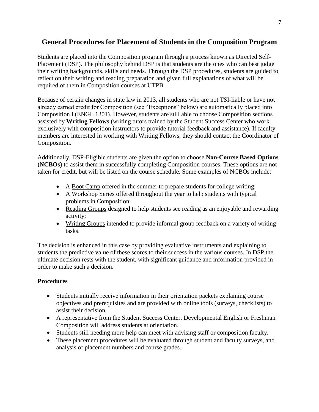# <span id="page-6-0"></span>**General Procedures for Placement of Students in the Composition Program**

Students are placed into the Composition program through a process known as Directed Self-Placement (DSP). The philosophy behind DSP is that students are the ones who can best judge their writing backgrounds, skills and needs. Through the DSP procedures, students are guided to reflect on their writing and reading preparation and given full explanations of what will be required of them in Composition courses at UTPB.

Because of certain changes in state law in 2013, all students who are not TSI-liable or have not already earned credit for Composition (see "Exceptions" below) are automatically placed into Composition I (ENGL 1301). However, students are still able to choose Composition sections assisted by **Writing Fellows** (writing tutors trained by the Student Success Center who work exclusively with composition instructors to provide tutorial feedback and assistance). If faculty members are interested in working with Writing Fellows, they should contact the Coordinator of Composition.

Additionally, DSP-Eligible students are given the option to choose **Non-Course Based Options (NCBOs)** to assist them in successfully completing Composition courses. These options are not taken for credit, but will be listed on the course schedule. Some examples of NCBOs include:

- A Boot Camp offered in the summer to prepare students for college writing;
- A Workshop Series offered throughout the year to help students with typical problems in Composition;
- Reading Groups designed to help students see reading as an enjoyable and rewarding activity;
- Writing Groups intended to provide informal group feedback on a variety of writing tasks.

The decision is enhanced in this case by providing evaluative instruments and explaining to students the predictive value of these scores to their success in the various courses. In DSP the ultimate decision rests with the student, with significant guidance and information provided in order to make such a decision.

# **Procedures**

- Students initially receive information in their orientation packets explaining course objectives and prerequisites and are provided with online tools (surveys, checklists) to assist their decision.
- A representative from the Student Success Center, Developmental English or Freshman Composition will address students at orientation.
- Students still needing more help can meet with advising staff or composition faculty.
- These placement procedures will be evaluated through student and faculty surveys, and analysis of placement numbers and course grades.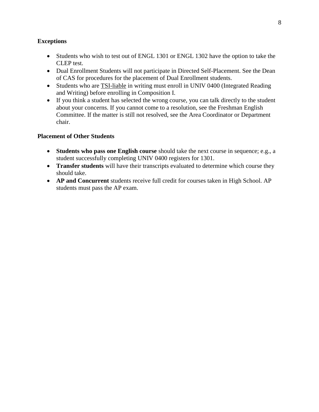## **Exceptions**

- Students who wish to test out of ENGL 1301 or ENGL 1302 have the option to take the CLEP test.
- Dual Enrollment Students will not participate in Directed Self-Placement. See the Dean of CAS for procedures for the placement of Dual Enrollment students.
- Students who are **TSI-liable** in writing must enroll in UNIV 0400 (Integrated Reading and Writing) before enrolling in Composition I.
- If you think a student has selected the wrong course, you can talk directly to the student about your concerns. If you cannot come to a resolution, see the Freshman English Committee. If the matter is still not resolved, see the Area Coordinator or Department chair.

## **Placement of Other Students**

- **Students who pass one English course** should take the next course in sequence; e.g., a student successfully completing UNIV 0400 registers for 1301.
- **Transfer students** will have their transcripts evaluated to determine which course they should take.
- **AP and Concurrent** students receive full credit for courses taken in High School. AP students must pass the AP exam.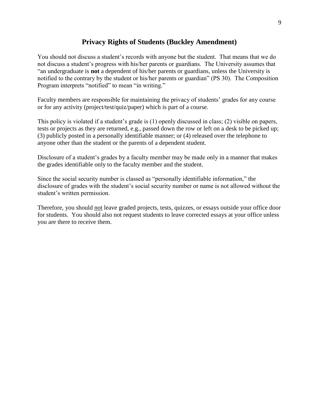# **Privacy Rights of Students (Buckley Amendment)**

<span id="page-8-0"></span>You should not discuss a student's records with anyone but the student. That means that we do not discuss a student's progress with his/her parents or guardians. The University assumes that "an undergraduate is **not** a dependent of his/her parents or guardians, unless the University is notified to the contrary by the student or his/her parents or guardian" (PS 30). The Composition Program interprets "notified" to mean "in writing."

Faculty members are responsible for maintaining the privacy of students' grades for any course or for any activity (project/test/quiz/paper) which is part of a course.

This policy is violated if a student's grade is (1) openly discussed in class; (2) visible on papers, tests or projects as they are returned, e.g., passed down the row or left on a desk to be picked up; (3) publicly posted in a personally identifiable manner; or (4) released over the telephone to anyone other than the student or the parents of a dependent student.

Disclosure of a student's grades by a faculty member may be made only in a manner that makes the grades identifiable only to the faculty member and the student.

Since the social security number is classed as "personally identifiable information," the disclosure of grades with the student's social security number or name is not allowed without the student's written permission.

Therefore, you should not leave graded projects, tests, quizzes, or essays outside your office door for students. You should also not request students to leave corrected essays at your office unless you are there to receive them.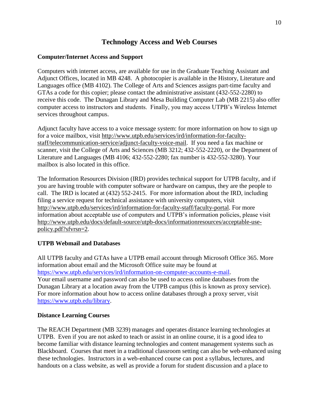# **Technology Access and Web Courses**

## <span id="page-9-0"></span>**Computer/Internet Access and Support**

Computers with internet access, are available for use in the Graduate Teaching Assistant and Adjunct Offices, located in MB 4248. A photocopier is available in the History, Literature and Languages office (MB 4102). The College of Arts and Sciences assigns part-time faculty and GTAs a code for this copier; please contact the administrative assistant (432-552-2280) to receive this code. The Dunagan Library and Mesa Building Computer Lab (MB 2215) also offer computer access to instructors and students. Finally, you may access UTPB's Wireless Internet services throughout campus.

Adjunct faculty have access to a voice message system: for more information on how to sign up for a voice mailbox, visit [http://www.utpb.edu/services/ird/information-for-faculty](http://www.utpb.edu/services/ird/information-for-faculty-staff/telecommunication-service/adjunct-faculty-voice-mail)[staff/telecommunication-service/adjunct-faculty-voice-mail.](http://www.utpb.edu/services/ird/information-for-faculty-staff/telecommunication-service/adjunct-faculty-voice-mail) If you need a fax machine or scanner, visit the College of Arts and Sciences (MB 3212; 432-552-2220), or the Department of Literature and Languages (MB 4106; 432-552-2280; fax number is 432-552-3280). Your mailbox is also located in this office.

The Information Resources Division (IRD) provides technical support for UTPB faculty, and if you are having trouble with computer software or hardware on campus, they are the people to call. The IRD is located at (432) 552-2415. For more information about the IRD, including filing a service request for technical assistance with university computers, visit [http://www.utpb.edu/services/ird/information-for-faculty-staff/faculty-portal.](http://www.utpb.edu/services/ird/information-for-faculty-staff/faculty-portal) For more information about acceptable use of computers and UTPB's information policies, please visit [http://www.utpb.edu/docs/default-source/utpb-docs/informationresources/acceptable-use](http://www.utpb.edu/docs/default-source/utpb-docs/informationresources/acceptable-use-policy.pdf?sfvrsn=2)[policy.pdf?sfvrsn=2.](http://www.utpb.edu/docs/default-source/utpb-docs/informationresources/acceptable-use-policy.pdf?sfvrsn=2)

# **UTPB Webmail and Databases**

All UTPB faculty and GTAs have a UTPB email account through Microsoft Office 365. More information about email and the Microsoft Office suite may be found at [https://www.utpb.edu/services/ird/information-on-computer-accounts-e-mail.](https://www.utpb.edu/services/ird/information-on-computer-accounts-e-mail) Your email username and password can also be used to access online databases from the Dunagan Library at a location away from the UTPB campus (this is known as proxy service). For more information about how to access online databases through a proxy server, visit [https://www.utpb.edu/library.](https://www.utpb.edu/library)

#### **Distance Learning Courses**

The REACH Department (MB 3239) manages and operates distance learning technologies at UTPB. Even if you are not asked to teach or assist in an online course, it is a good idea to become familiar with distance learning technologies and content management systems such as Blackboard. Courses that meet in a traditional classroom setting can also be web-enhanced using these technologies. Instructors in a web-enhanced course can post a syllabus, lectures, and handouts on a class website, as well as provide a forum for student discussion and a place to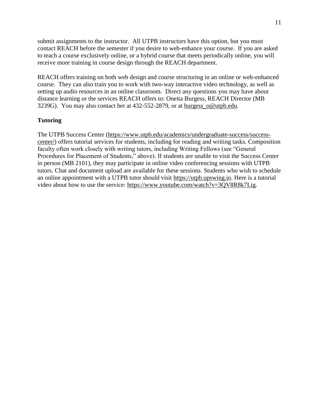submit assignments to the instructor. All UTPB instructors have this option, but you must contact REACH before the semester if you desire to web-enhance your course. If you are asked to teach a course exclusively online, or a hybrid course that meets periodically online, you will receive more training in course design through the REACH department.

REACH offers training on both web design and course structuring in an online or web-enhanced course. They can also train you to work with two-way interactive video technology, as well as setting up audio resources in an online classroom. Direct any questions you may have about distance learning or the services REACH offers to: Oneita Burgess, REACH Director (MB 3239G). You may also contact her at 432-552-2879, or at [burgess\\_o@utpb.edu.](mailto:burgess_o@utpb.edu)

# **Tutoring**

The UTPB Success Center [\(https://www.utpb.edu/academics/undergraduate-success/success](https://www.utpb.edu/academics/undergraduate-success/success-center/)[center/\)](https://www.utpb.edu/academics/undergraduate-success/success-center/) offers tutorial services for students, including for reading and writing tasks. Composition faculty often work closely with writing tutors, including Writing Fellows (see "General Procedures for Placement of Students," above). If students are unable to visit the Success Center in person (MB 2101), they may participate in online video conferencing sessions with UTPB tutors. Chat and document upload are available for these sessions. Students who wish to schedule an online appointment with a UTPB tutor should visit [https://utpb.upswing.io.](https://utpb.upswing.io/) Here is a tutorial video about how to use the service: [https://www.youtube.com/watch?v=3QV8R8k7Lig.](https://www.youtube.com/watch?v=3QV8R8k7Lig)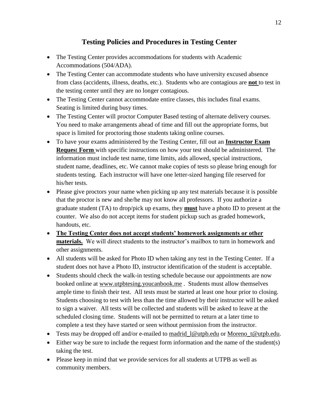# **Testing Policies and Procedures in Testing Center**

- <span id="page-11-0"></span>• The Testing Center provides accommodations for students with Academic Accommodations (504/ADA).
- The Testing Center can accommodate students who have university excused absence from class (accidents, illness, deaths, etc.). Students who are contagious are **not** to test in the testing center until they are no longer contagious.
- The Testing Center cannot accommodate entire classes, this includes final exams. Seating is limited during busy times.
- The Testing Center will proctor Computer Based testing of alternate delivery courses. You need to make arrangements ahead of time and fill out the appropriate forms, but space is limited for proctoring those students taking online courses.
- To have your exams administered by the Testing Center, fill out an **Instructor Exam Reques**t **Form** with specific instructions on how your test should be administered. The information must include test name, time limits, aids allowed, special instructions, student name, deadlines, etc. We cannot make copies of tests so please bring enough for students testing. Each instructor will have one letter-sized hanging file reserved for his/her tests.
- Please give proctors your name when picking up any test materials because it is possible that the proctor is new and she/he may not know all professors. If you authorize a graduate student (TA) to drop/pick up exams, they **must** have a photo ID to present at the counter. We also do not accept items for student pickup such as graded homework, handouts, etc.
- **The Testing Center does not accept students' homework assignments or other materials.** We will direct students to the instructor's mailbox to turn in homework and other assignments.
- All students will be asked for Photo ID when taking any test in the Testing Center. If a student does not have a Photo ID, instructor identification of the student is acceptable.
- Students should check the walk-in testing schedule because our appointments are now booked online at [www.utpbtesing.youcanbook.me](http://www.utpbtesing.youcanbook.me/) . Students must allow themselves ample time to finish their test. All tests must be started at least one hour prior to closing. Students choosing to test with less than the time allowed by their instructor will be asked to sign a waiver. All tests will be collected and students will be asked to leave at the scheduled closing time. Students will not be permitted to return at a later time to complete a test they have started or seen without permission from the instructor.
- Tests may be dropped off and/or e-mailed to [madrid\\_l@utpb.edu](mailto:madrid_l@utpb.edu) or [Moreno\\_t@utpb.edu.](mailto:Moreno_t@utpb.edu)
- Either way be sure to include the request form information and the name of the student(s) taking the test.
- Please keep in mind that we provide services for all students at UTPB as well as community members.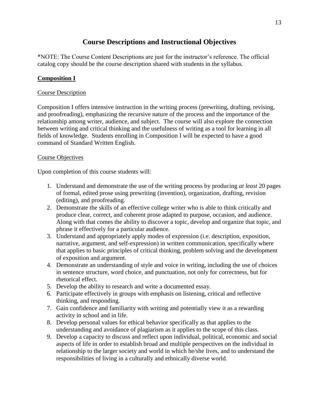# **Course Descriptions and Instructional Objectives**

<span id="page-12-0"></span>\*NOTE: The Course Content Descriptions are just for the instructor's reference. The official catalog copy should be the course description shared with students in the syllabus.

# **Composition I**

## Course Description

Composition I offers intensive instruction in the writing process (prewriting, drafting, revising, and proofreading), emphasizing the recursive nature of the process and the importance of the relationship among writer, audience, and subject. The course will also explore the connection between writing and critical thinking and the usefulness of writing as a tool for learning in all fields of knowledge. Students enrolling in Composition I will be expected to have a good command of Standard Written English.

## Course Objectives

Upon completion of this course students will:

- 1. Understand and demonstrate the use of the writing process by producing *at least* 20 pages of formal, edited prose using prewriting (invention), organization, drafting, revision (editing), and proofreading.
- 2. Demonstrate the skills of an effective college writer who is able to think critically and produce clear, correct, and coherent prose adapted to purpose, occasion, and audience. Along with that comes the ability to discover a topic, develop and organize that topic, and phrase it effectively for a particular audience.
- 3. Understand and appropriately apply modes of expression (i.e. description, exposition, narrative, argument, and self-expression) in written communication, specifically where that applies to basic principles of critical thinking, problem solving and the development of exposition and argument.
- 4. Demonstrate an understanding of style and voice in writing, including the use of choices in sentence structure, word choice, and punctuation, not only for correctness, but for rhetorical effect.
- 5. Develop the ability to research and write a documented essay.
- 6. Participate effectively in groups with emphasis on listening, critical and reflective thinking, and responding.
- 7. Gain confidence and familiarity with writing and potentially view it as a rewarding activity in school and in life.
- 8. Develop personal values for ethical behavior specifically as that applies to the understanding and avoidance of plagiarism as it applies to the scope of this class.
- 9. Develop a capacity to discuss and reflect upon individual, political, economic and social aspects of life in order to establish broad and multiple perspectives on the individual in relationship to the larger society and world in which he/she lives, and to understand the responsibilities of living in a culturally and ethnically diverse world.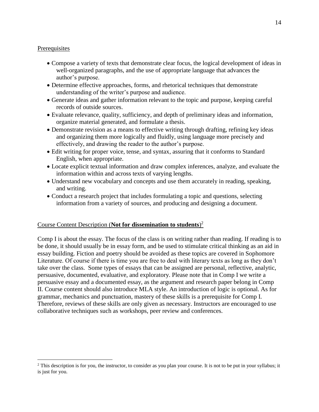### Prerequisites

 $\overline{a}$ 

- Compose a variety of texts that demonstrate clear focus, the logical development of ideas in well-organized paragraphs, and the use of appropriate language that advances the author's purpose.
- Determine effective approaches, forms, and rhetorical techniques that demonstrate understanding of the writer's purpose and audience.
- Generate ideas and gather information relevant to the topic and purpose, keeping careful records of outside sources.
- Evaluate relevance, quality, sufficiency, and depth of preliminary ideas and information, organize material generated, and formulate a thesis.
- Demonstrate revision as a means to effective writing through drafting, refining key ideas and organizing them more logically and fluidly, using language more precisely and effectively, and drawing the reader to the author's purpose.
- Edit writing for proper voice, tense, and syntax, assuring that it conforms to Standard English, when appropriate.
- Locate explicit textual information and draw complex inferences, analyze, and evaluate the information within and across texts of varying lengths.
- Understand new vocabulary and concepts and use them accurately in reading, speaking, and writing.
- Conduct a research project that includes formulating a topic and questions, selecting information from a variety of sources, and producing and designing a document.

# Course Content Description (**Not for dissemination to students**) 2

Comp I is about the essay. The focus of the class is on writing rather than reading. If reading is to be done, it should usually be in essay form, and be used to stimulate critical thinking as an aid in essay building. Fiction and poetry should be avoided as these topics are covered in Sophomore Literature. Of course if there is time you are free to deal with literary texts as long as they don't take over the class. Some types of essays that can be assigned are personal, reflective, analytic, persuasive, documented, evaluative, and exploratory. Please note that in Comp I we write a persuasive essay and a documented essay, as the argument and research paper belong in Comp II. Course content should also introduce MLA style. An introduction of logic is optional. As for grammar, mechanics and punctuation, mastery of these skills is a prerequisite for Comp I. Therefore, reviews of these skills are only given as necessary. Instructors are encouraged to use collaborative techniques such as workshops, peer review and conferences.

<sup>&</sup>lt;sup>2</sup> This description is for you, the instructor, to consider as you plan your course. It is not to be put in your syllabus; it is just for you.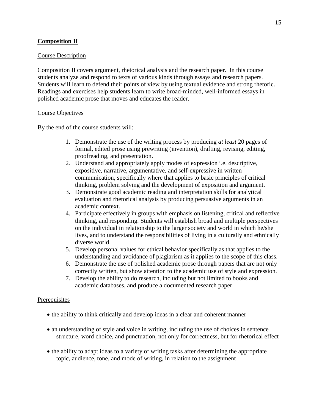## **Composition II**

#### Course Description

Composition II covers argument, rhetorical analysis and the research paper. In this course students analyze and respond to texts of various kinds through essays and research papers. Students will learn to defend their points of view by using textual evidence and strong rhetoric. Readings and exercises help students learn to write broad-minded, well-informed essays in polished academic prose that moves and educates the reader.

#### Course Objectives

By the end of the course students will:

- 1. Demonstrate the use of the writing process by producing *at least* 20 pages of formal, edited prose using prewriting (invention), drafting, revising, editing, proofreading, and presentation.
- 2. Understand and appropriately apply modes of expression i.e. descriptive, expositive, narrative, argumentative, and self-expressive in written communication, specifically where that applies to basic principles of critical thinking, problem solving and the development of exposition and argument.
- 3. Demonstrate good academic reading and interpretation skills for analytical evaluation and rhetorical analysis by producing persuasive arguments in an academic context.
- 4. Participate effectively in groups with emphasis on listening, critical and reflective thinking, and responding. Students will establish broad and multiple perspectives on the individual in relationship to the larger society and world in which he/she lives, and to understand the responsibilities of living in a culturally and ethnically diverse world.
- 5. Develop personal values for ethical behavior specifically as that applies to the understanding and avoidance of plagiarism as it applies to the scope of this class.
- 6. Demonstrate the use of polished academic prose through papers that are not only correctly written, but show attention to the academic use of style and expression.
- 7. Develop the ability to do research, including but not limited to books and academic databases, and produce a documented research paper.

#### **Prerequisites**

- the ability to think critically and develop ideas in a clear and coherent manner
- an understanding of style and voice in writing, including the use of choices in sentence structure, word choice, and punctuation, not only for correctness, but for rhetorical effect
- the ability to adapt ideas to a variety of writing tasks after determining the appropriate topic, audience, tone, and mode of writing, in relation to the assignment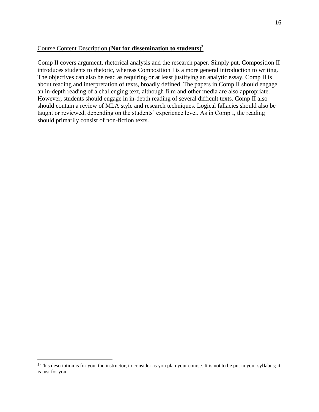## Course Content Description (**Not for dissemination to students**) 3

Comp II covers argument, rhetorical analysis and the research paper. Simply put, Composition II introduces students to rhetoric, whereas Composition I is a more general introduction to writing. The objectives can also be read as requiring or at least justifying an analytic essay. Comp II is about reading and interpretation of texts, broadly defined. The papers in Comp II should engage an in-depth reading of a challenging text, although film and other media are also appropriate. However, students should engage in in-depth reading of several difficult texts. Comp II also should contain a review of MLA style and research techniques. Logical fallacies should also be taught or reviewed, depending on the students' experience level. As in Comp I, the reading should primarily consist of non-fiction texts.

 $\overline{a}$ 

<sup>&</sup>lt;sup>3</sup> This description is for you, the instructor, to consider as you plan your course. It is not to be put in your syllabus; it is just for you.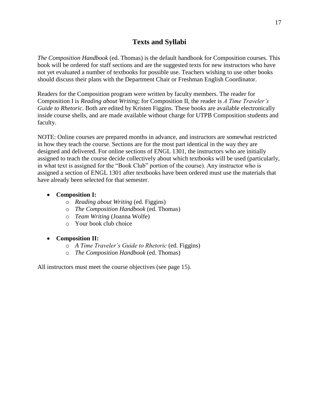# **Texts and Syllabi**

<span id="page-16-0"></span>*The Composition Handbook* (ed. Thomas) is the default handbook for Composition courses. This book will be ordered for staff sections and are the suggested texts for new instructors who have not yet evaluated a number of textbooks for possible use. Teachers wishing to use other books should discuss their plans with the Department Chair or Freshman English Coordinator.

Readers for the Composition program were written by faculty members. The reader for Composition I is *Reading about Writing*; for Composition II, the reader is *A Time Traveler's Guide to Rhetoric*. Both are edited by Kristen Figgins. These books are available electronically inside course shells, and are made available without charge for UTPB Composition students and faculty.

NOTE: Online courses are prepared months in advance, and instructors are somewhat restricted in how they teach the course. Sections are for the most part identical in the way they are designed and delivered. For online sections of ENGL 1301, the instructors who are initially assigned to teach the course decide collectively about which textbooks will be used (particularly, in what text is assigned for the "Book Club" portion of the course). Any instructor who is assigned a section of ENGL 1301 after textbooks have been ordered must use the materials that have already been selected for that semester.

# • **Composition I:**

- o *Reading about Writing* (ed. Figgins)
- o *The Composition Handbook* (ed. Thomas)
- o *Team Writing* (Joanna Wolfe)
- o Your book club choice

# • **Composition II:**

- o *A Time Traveler's Guide to Rhetoric* (ed. Figgins)
- o *The Composition Handbook* (ed. Thomas)

All instructors must meet the course objectives (see page 15).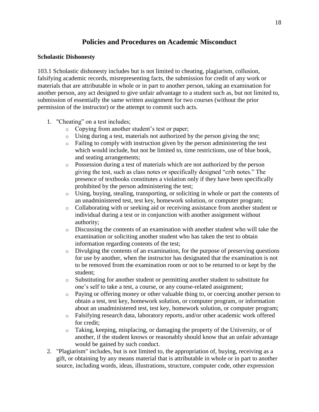# **Policies and Procedures on Academic Misconduct**

#### <span id="page-17-0"></span>**Scholastic Dishonesty**

103.1 Scholastic dishonesty includes but is not limited to cheating, plagiarism, collusion, falsifying academic records, misrepresenting facts, the submission for credit of any work or materials that are attributable in whole or in part to another person, taking an examination for another person, any act designed to give unfair advantage to a student such as, but not limited to, submission of essentially the same written assignment for two courses (without the prior permission of the instructor) or the attempt to commit such acts.

- 1. "Cheating" on a test includes;
	- o Copying from another student's test or paper;
	- o Using during a test, materials not authorized by the person giving the test;
	- o Failing to comply with instruction given by the person administering the test which would include, but not be limited to, time restrictions, use of blue book, and seating arrangements;
	- o Possession during a test of materials which are not authorized by the person giving the test, such as class notes or specifically designed "crib notes." The presence of textbooks constitutes a violation only if they have been specifically prohibited by the person administering the test;
	- o Using, buying, stealing, transporting, or soliciting in whole or part the contents of an unadministered test, test key, homework solution, or computer program;
	- o Collaborating with or seeking aid or receiving assistance from another student or individual during a test or in conjunction with another assignment without authority;
	- $\circ$  Discussing the contents of an examination with another student who will take the examination or soliciting another student who has taken the test to obtain information regarding contents of the test;
	- o Divulging the contents of an examination, for the purpose of preserving questions for use by another, when the instructor has designated that the examination is not to be removed from the examination room or not to be returned to or kept by the student;
	- o Substituting for another student or permitting another student to substitute for one's self to take a test, a course, or any course-related assignment;
	- o Paying or offering money or other valuable thing to, or coercing another person to obtain a test, test key, homework solution, or computer program, or information about an unadministered test, test key, homework solution, or computer program;
	- o Falsifying research data, laboratory reports, and/or other academic work offered for credit;
	- o Taking, keeping, misplacing, or damaging the property of the University, or of another, if the student knows or reasonably should know that an unfair advantage would be gained by such conduct.
- 2. "Plagiarism" includes, but is not limited to, the appropriation of, buying, receiving as a gift, or obtaining by any means material that is attributable in whole or in part to another source, including words, ideas, illustrations, structure, computer code, other expression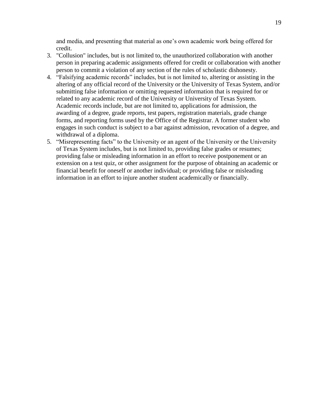and media, and presenting that material as one's own academic work being offered for credit.

- 3. "Collusion" includes, but is not limited to, the unauthorized collaboration with another person in preparing academic assignments offered for credit or collaboration with another person to commit a violation of any section of the rules of scholastic dishonesty.
- 4. "Falsifying academic records" includes, but is not limited to, altering or assisting in the altering of any official record of the University or the University of Texas System, and/or submitting false information or omitting requested information that is required for or related to any academic record of the University or University of Texas System. Academic records include, but are not limited to, applications for admission, the awarding of a degree, grade reports, test papers, registration materials, grade change forms, and reporting forms used by the Office of the Registrar. A former student who engages in such conduct is subject to a bar against admission, revocation of a degree, and withdrawal of a diploma.
- 5. "Misrepresenting facts" to the University or an agent of the University or the University of Texas System includes, but is not limited to, providing false grades or resumes; providing false or misleading information in an effort to receive postponement or an extension on a test quiz, or other assignment for the purpose of obtaining an academic or financial benefit for oneself or another individual; or providing false or misleading information in an effort to injure another student academically or financially.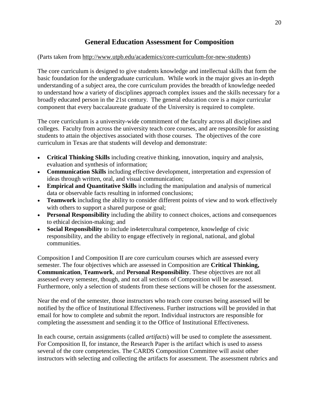# **General Education Assessment for Composition**

## <span id="page-19-0"></span>(Parts taken from [http://www.utpb.edu/academics/core-curriculum-for-new-students\)](http://www.utpb.edu/academics/core-curriculum-for-new-students)

The core curriculum is designed to give students knowledge and intellectual skills that form the basic foundation for the undergraduate curriculum. While work in the major gives an in-depth understanding of a subject area, the core curriculum provides the breadth of knowledge needed to understand how a variety of disciplines approach complex issues and the skills necessary for a broadly educated person in the 21st century. The general education core is a major curricular component that every baccalaureate graduate of the University is required to complete.

The core curriculum is a university-wide commitment of the faculty across all disciplines and colleges. Faculty from across the university teach core courses, and are responsible for assisting students to attain the objectives associated with those courses. The objectives of the core curriculum in Texas are that students will develop and demonstrate:

- **Critical Thinking Skills** including creative thinking, innovation, inquiry and analysis, evaluation and synthesis of information;
- **Communication Skills** including effective development, interpretation and expression of ideas through written, oral, and visual communication;
- **Empirical and Quantitative Skills** including the manipulation and analysis of numerical data or observable facts resulting in informed conclusions;
- **Teamwork** including the ability to consider different points of view and to work effectively with others to support a shared purpose or goal;
- **Personal Responsibility** including the ability to connect choices, actions and consequences to ethical decision-making; and
- **Social Responsibility** to include in4etercultural competence, knowledge of civic responsibility, and the ability to engage effectively in regional, national, and global communities.

Composition I and Composition II are core curriculum courses which are assessed every semester. The four objectives which are assessed in Composition are **Critical Thinking, Communication**, **Teamwork**, and **Personal Responsibility**. These objectives are not all assessed every semester, though, and not all sections of Composition will be assessed. Furthermore, only a selection of students from these sections will be chosen for the assessment.

Near the end of the semester, those instructors who teach core courses being assessed will be notified by the office of Institutional Effectiveness. Further instructions will be provided in that email for how to complete and submit the report. Individual instructors are responsible for completing the assessment and sending it to the Office of Institutional Effectiveness.

In each course, certain assignments (called *artifacts*) will be used to complete the assessment. For Composition II, for instance, the Research Paper is the artifact which is used to assess several of the core competencies. The CARDS Composition Committee will assist other instructors with selecting and collecting the artifacts for assessment. The assessment rubrics and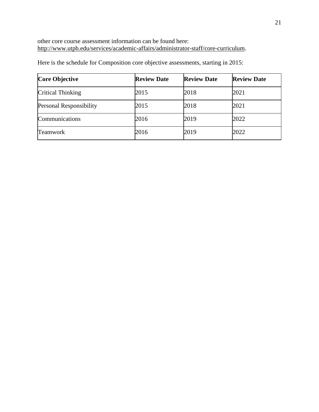other core course assessment information can be found here: [http://www.utpb.edu/services/academic-affairs/administrator-staff/core-curriculum.](http://www.utpb.edu/services/academic-affairs/administrator-staff/core-curriculum)

| <b>Core Objective</b>          | <b>Review Date</b> | <b>Review Date</b> | <b>Review Date</b> |
|--------------------------------|--------------------|--------------------|--------------------|
| Critical Thinking              | 2015               | 2018               | 2021               |
| <b>Personal Responsibility</b> | 2015               | 2018               | 2021               |
| Communications                 | 2016               | 2019               | 2022               |
| <b>Teamwork</b>                | 2016               | 2019               | 2022               |

Here is the schedule for Composition core objective assessments, starting in 2015: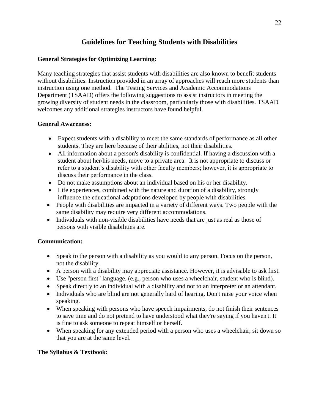# **Guidelines for Teaching Students with Disabilities**

## <span id="page-21-0"></span>**General Strategies for Optimizing Learning:**

Many teaching strategies that assist students with disabilities are also known to benefit students without disabilities. Instruction provided in an array of approaches will reach more students than instruction using one method. The Testing Services and Academic Accommodations Department (TSAAD) offers the following suggestions to assist instructors in meeting the growing diversity of student needs in the classroom, particularly those with disabilities. TSAAD welcomes any additional strategies instructors have found helpful.

## **General Awareness:**

- Expect students with a disability to meet the same standards of performance as all other students. They are here because of their abilities, not their disabilities.
- All information about a person's disability is confidential. If having a discussion with a student about her/his needs, move to a private area. It is not appropriate to discuss or refer to a student's disability with other faculty members; however, it is appropriate to discuss their performance in the class.
- Do not make assumptions about an individual based on his or her disability.
- Life experiences, combined with the nature and duration of a disability, strongly influence the educational adaptations developed by people with disabilities.
- People with disabilities are impacted in a variety of different ways. Two people with the same disability may require very different accommodations.
- Individuals with non-visible disabilities have needs that are just as real as those of persons with visible disabilities are.

# **Communication:**

- Speak to the person with a disability as you would to any person. Focus on the person, not the disability.
- A person with a disability may appreciate assistance. However, it is advisable to ask first.
- Use "person first" language. (e.g., person who uses a wheelchair, student who is blind).
- Speak directly to an individual with a disability and not to an interpreter or an attendant.
- Individuals who are blind are not generally hard of hearing. Don't raise your voice when speaking.
- When speaking with persons who have speech impairments, do not finish their sentences to save time and do not pretend to have understood what they're saying if you haven't. It is fine to ask someone to repeat himself or herself.
- When speaking for any extended period with a person who uses a wheelchair, sit down so that you are at the same level.

# **The Syllabus & Textbook:**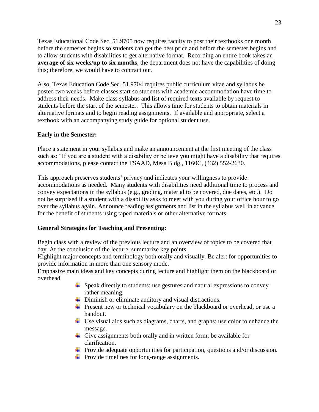Texas Educational Code Sec. 51.9705 now requires faculty to post their textbooks one month before the semester begins so students can get the best price and before the semester begins and to allow students with disabilities to get alternative format. Recording an entire book takes an **average of six weeks/up to six months**, the department does not have the capabilities of doing this; therefore, we would have to contract out.

Also, Texas Education Code Sec. 51.9704 requires public curriculum vitae and syllabus be posted two weeks before classes start so students with academic accommodation have time to address their needs. Make class syllabus and list of required texts available by request to students before the start of the semester. This allows time for students to obtain materials in alternative formats and to begin reading assignments. If available and appropriate, select a textbook with an accompanying study guide for optional student use.

# **Early in the Semester:**

Place a statement in your syllabus and make an announcement at the first meeting of the class such as: "If you are a student with a disability or believe you might have a disability that requires accommodations, please contact the TSAAD, Mesa Bldg., 1160C, (432) 552-2630.

This approach preserves students' privacy and indicates your willingness to provide accommodations as needed. Many students with disabilities need additional time to process and convey expectations in the syllabus (e.g., grading, material to be covered, due dates, etc.). Do not be surprised if a student with a disability asks to meet with you during your office hour to go over the syllabus again. Announce reading assignments and list in the syllabus well in advance for the benefit of students using taped materials or other alternative formats.

#### **General Strategies for Teaching and Presenting:**

Begin class with a review of the previous lecture and an overview of topics to be covered that day. At the conclusion of the lecture, summarize key points.

Highlight major concepts and terminology both orally and visually. Be alert for opportunities to provide information in more than one sensory mode.

Emphasize main ideas and key concepts during lecture and highlight them on the blackboard or overhead.

- $\div$  Speak directly to students; use gestures and natural expressions to convey rather meaning.
- **↓** Diminish or eliminate auditory and visual distractions.
- $\overline{\text{L}}$  Present new or technical vocabulary on the blackboard or overhead, or use a handout.
- Use visual aids such as diagrams, charts, and graphs; use color to enhance the message.
- $\overline{\phantom{a} \bullet}$  Give assignments both orally and in written form; be available for clarification.
- **Provide adequate opportunities for participation, questions and/or discussion.**
- $\overline{\phantom{a}}$  Provide timelines for long-range assignments.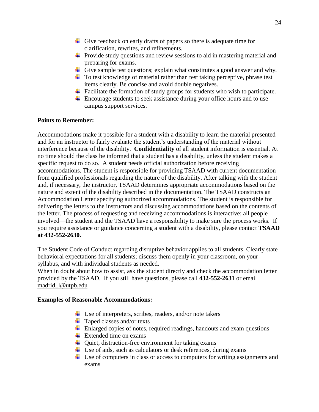- Give feedback on early drafts of papers so there is adequate time for clarification, rewrites, and refinements.
- $\overline{\phantom{a}}$  Provide study questions and review sessions to aid in mastering material and preparing for exams.
- Give sample test questions; explain what constitutes a good answer and why.
- $\ddot{\phantom{1}}$  To test knowledge of material rather than test taking perceptive, phrase test items clearly. Be concise and avoid double negatives.
- $\overline{\phantom{a}}$  Facilitate the formation of study groups for students who wish to participate.
- $\overline{\text{F}}$  Encourage students to seek assistance during your office hours and to use campus support services.

#### **Points to Remember:**

Accommodations make it possible for a student with a disability to learn the material presented and for an instructor to fairly evaluate the student's understanding of the material without interference because of the disability. **Confidentiality** of all student information is essential. At no time should the class be informed that a student has a disability, unless the student makes a specific request to do so. A student needs official authorization before receiving accommodations. The student is responsible for providing TSAAD with current documentation from qualified professionals regarding the nature of the disability. After talking with the student and, if necessary, the instructor, TSAAD determines appropriate accommodations based on the nature and extent of the disability described in the documentation. The TSAAD constructs an Accommodation Letter specifying authorized accommodations. The student is responsible for delivering the letters to the instructors and discussing accommodations based on the contents of the letter. The process of requesting and receiving accommodations is interactive; all people involved—the student and the TSAAD have a responsibility to make sure the process works. If you require assistance or guidance concerning a student with a disability, please contact **TSAAD at 432-552-2630.**

The Student Code of Conduct regarding disruptive behavior applies to all students. Clearly state behavioral expectations for all students; discuss them openly in your classroom, on your syllabus, and with individual students as needed.

When in doubt about how to assist, ask the student directly and check the accommodation letter provided by the TSAAD. If you still have questions, please call **432-552-2631** or email [madrid\\_l@utpb.edu](mailto:madrid_l@utpb.edu)

#### **Examples of Reasonable Accommodations:**

- $\overline{\phantom{a}}$  Use of interpreters, scribes, readers, and/or note takers
- $\ddot{\bullet}$  Taped classes and/or texts
- $\overline{\phantom{a}}$  Enlarged copies of notes, required readings, handouts and exam questions
- $\bigstar$  Extended time on exams
- $\downarrow$  Quiet, distraction-free environment for taking exams
- $\ddot{\textbf{u}}$  Use of aids, such as calculators or desk references, during exams
- Use of computers in class or access to computers for writing assignments and exams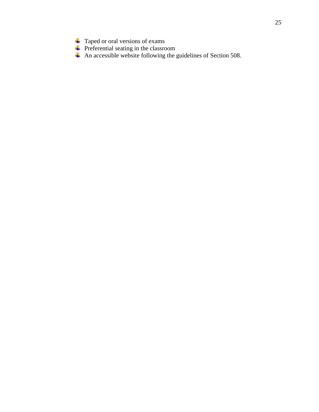- Taped or oral versions of exams
- Preferential seating in the classroom
- An accessible website following the guidelines of Section 508.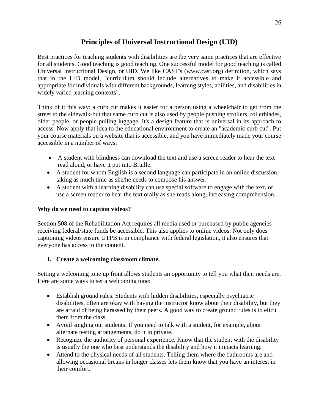# **Principles of Universal Instructional Design (UID)**

<span id="page-25-0"></span>Best practices for teaching students with disabilities are the very same practices that are effective for all students. Good teaching is good teaching. One successful model for good teaching is called Universal Instructional Design, or UID. We like CAST's (www.cast.org) definition, which says that in the UID model, "curriculum should include alternatives to make it accessible and appropriate for individuals with different backgrounds, learning styles, abilities, and disabilities in widely varied learning contexts".

Think of it this way: a curb cut makes it easier for a person using a wheelchair to get from the street to the sidewalk-but that same curb cut is also used by people pushing strollers, rollerblades, older people, or people pulling luggage. It's a design feature that is universal in its approach to access. Now apply that idea to the educational environment to create an "academic curb cut". Put your course materials on a website that is accessible, and you have immediately made your course accessible in a number of ways:

- A student with blindness can download the text and use a screen reader to hear the text read aloud, or have it put into Braille.
- A student for whom English is a second language can participate in an online discussion, taking as much time as she/he needs to compose his answer.
- A student with a learning disability can use special software to engage with the text, or use a screen reader to hear the text orally as she reads along, increasing comprehension.

# **Why do we need to caption videos?**

Section 508 of the Rehabilitation Act requires all media used or purchased by public agencies receiving federal/state funds be accessible. This also applies to online videos. Not only does captioning videos ensure UTPB is in compliance with federal legislation, it also ensures that everyone has access to the content.

# **1. Create a welcoming classroom climate.**

Setting a welcoming tone up front allows students an opportunity to tell you what their needs are. Here are some ways to set a welcoming tone:

- Establish ground rules. Students with hidden disabilities, especially psychiatric disabilities, often are okay with having the instructor know about their disability, but they are afraid of being harassed by their peers. A good way to create ground rules is to elicit them from the class.
- Avoid singling out students. If you need to talk with a student, for example, about alternate testing arrangements, do it in private.
- Recognize the authority of personal experience. Know that the student with the disability is usually the one who best understands the disability and how it impacts learning.
- Attend to the physical needs of all students. Telling them where the bathrooms are and allowing occasional breaks in longer classes lets them know that you have an interest in their comfort.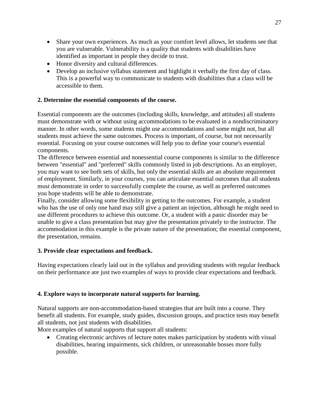- Share your own experiences. As much as your comfort level allows, let students see that you are vulnerable. Vulnerability is a quality that students with disabilities have identified as important in people they decide to trust.
- Honor diversity and cultural differences.
- Develop an inclusive syllabus statement and highlight it verbally the first day of class. This is a powerful way to communicate to students with disabilities that a class will be accessible to them.

# **2. Determine the essential components of the course.**

Essential components are the outcomes (including skills, knowledge, and attitudes) all students must demonstrate with or without using accommodations to be evaluated in a nondiscriminatory manner. In other words, some students might use accommodations and some might not, but all students must achieve the same outcomes. Process is important, of course, but not necessarily essential. Focusing on your course outcomes will help you to define your course's essential components.

The difference between essential and nonessential course components is similar to the difference between "essential" and "preferred" skills commonly listed in job descriptions. As an employer, you may want to see both sets of skills, but only the essential skills are an absolute requirement of employment. Similarly, in your courses, you can articulate essential outcomes that all students must demonstrate in order to successfully complete the course, as well as preferred outcomes you hope students will be able to demonstrate.

Finally, consider allowing some flexibility in getting to the outcomes. For example, a student who has the use of only one hand may still give a patient an injection, although he might need to use different procedures to achieve this outcome. Or, a student with a panic disorder may be unable to give a class presentation but may give the presentation privately to the instructor. The accommodation in this example is the private nature of the presentation; the essential component, the presentation, remains.

# **3. Provide clear expectations and feedback.**

Having expectations clearly laid out in the syllabus and providing students with regular feedback on their performance are just two examples of ways to provide clear expectations and feedback.

# **4. Explore ways to incorporate natural supports for learning.**

Natural supports are non-accommodation-based strategies that are built into a course. They benefit all students. For example, study guides, discussion groups, and practice tests may benefit all students, not just students with disabilities.

More examples of natural supports that support all students:

• Creating electronic archives of lecture notes makes participation by students with visual disabilities, hearing impairments, sick children, or unreasonable bosses more fully possible.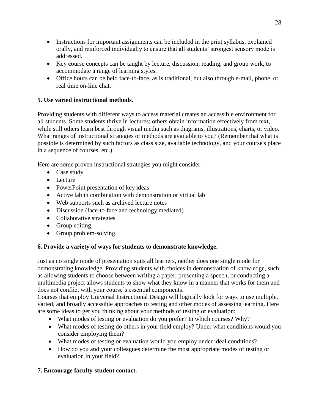- Instructions for important assignments can be included in the print syllabus, explained orally, and reinforced individually to ensure that all students' strongest sensory mode is addressed.
- Key course concepts can be taught by lecture, discussion, reading, and group work, to accommodate a range of learning styles.
- Office hours can be held face-to-face, as is traditional, but also through e-mail, phone, or real time on-line chat.

# **5. Use varied instructional methods**.

Providing students with different ways to access material creates an accessible environment for all students. Some students thrive in lectures; others obtain information effectively from text, while still others learn best through visual media such as diagrams, illustrations, charts, or video. What ranges of instructional strategies or methods are available to you? (Remember that what is possible is determined by such factors as class size, available technology, and your course's place in a sequence of courses, etc.)

Here are some proven instructional strategies you might consider:

- Case study
- Lecture
- PowerPoint presentation of key ideas
- Active lab in combination with demonstration or virtual lab
- Web supports such as archived lecture notes
- Discussion (face-to-face and technology mediated)
- Collaborative strategies
- Group editing
- Group problem-solving.

# **6. Provide a variety of ways for students to demonstrate knowledge.**

Just as no single mode of presentation suits all learners, neither does one single mode for demonstrating knowledge. Providing students with choices in demonstration of knowledge, such as allowing students to choose between writing a paper, presenting a speech, or conducting a multimedia project allows students to show what they know in a manner that works for them and does not conflict with your course's essential components.

Courses that employ Universal Instructional Design will logically look for ways to use multiple, varied, and broadly accessible approaches to testing and other modes of assessing learning. Here are some ideas to get you thinking about your methods of testing or evaluation:

- What modes of testing or evaluation do you prefer? In which courses? Why?
- What modes of testing do others in your field employ? Under what conditions would you consider employing them?
- What modes of testing or evaluation would you employ under ideal conditions?
- How do you and your colleagues determine the most appropriate modes of testing or evaluation in your field?

# **7. Encourage faculty-student contact.**